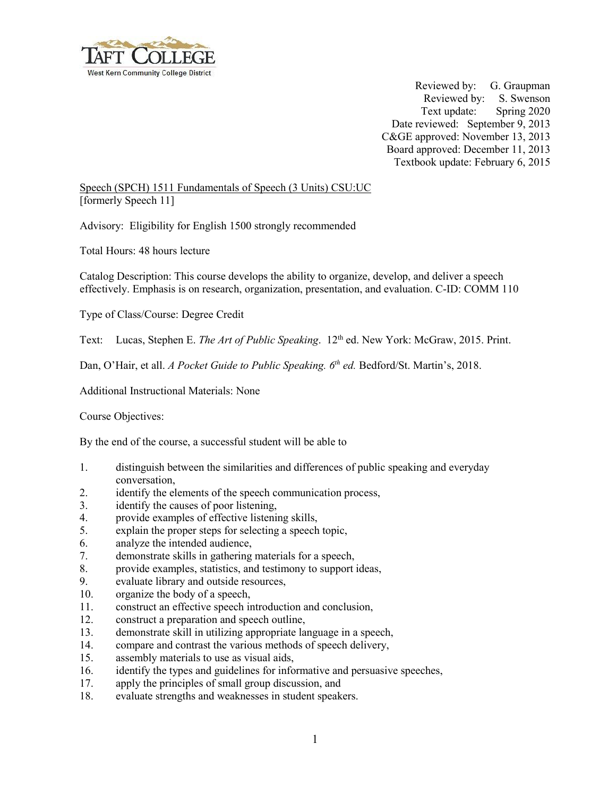

Reviewed by: G. Graupman Reviewed by: S. Swenson Text update: Spring 2020 Date reviewed: September 9, 2013 C&GE approved: November 13, 2013 Board approved: December 11, 2013 Textbook update: February 6, 2015

Speech (SPCH) 1511 Fundamentals of Speech (3 Units) CSU:UC [formerly Speech 11]

Advisory: Eligibility for English 1500 strongly recommended

Total Hours: 48 hours lecture

Catalog Description: This course develops the ability to organize, develop, and deliver a speech effectively. Emphasis is on research, organization, presentation, and evaluation. C-ID: COMM 110

Type of Class/Course: Degree Credit

Text: Lucas, Stephen E. *The Art of Public Speaking*. 12<sup>th</sup> ed. New York: McGraw, 2015. Print.

Dan, O'Hair, et all. *A Pocket Guide to Public Speaking. 6<sup>th</sup> ed.* Bedford/St. Martin's, 2018.

Additional Instructional Materials: None

Course Objectives:

By the end of the course, a successful student will be able to

- 1. distinguish between the similarities and differences of public speaking and everyday conversation,
- 2. identify the elements of the speech communication process,
- 3. identify the causes of poor listening,
- 4. provide examples of effective listening skills,
- 5. explain the proper steps for selecting a speech topic,
- 6. analyze the intended audience,
- 7. demonstrate skills in gathering materials for a speech,
- 8. provide examples, statistics, and testimony to support ideas,
- 9. evaluate library and outside resources,
- 10. organize the body of a speech,
- 11. construct an effective speech introduction and conclusion,
- 12. construct a preparation and speech outline,
- 13. demonstrate skill in utilizing appropriate language in a speech,
- 14. compare and contrast the various methods of speech delivery,
- 15. assembly materials to use as visual aids,
- 16. identify the types and guidelines for informative and persuasive speeches,
- 17. apply the principles of small group discussion, and
- 18. evaluate strengths and weaknesses in student speakers.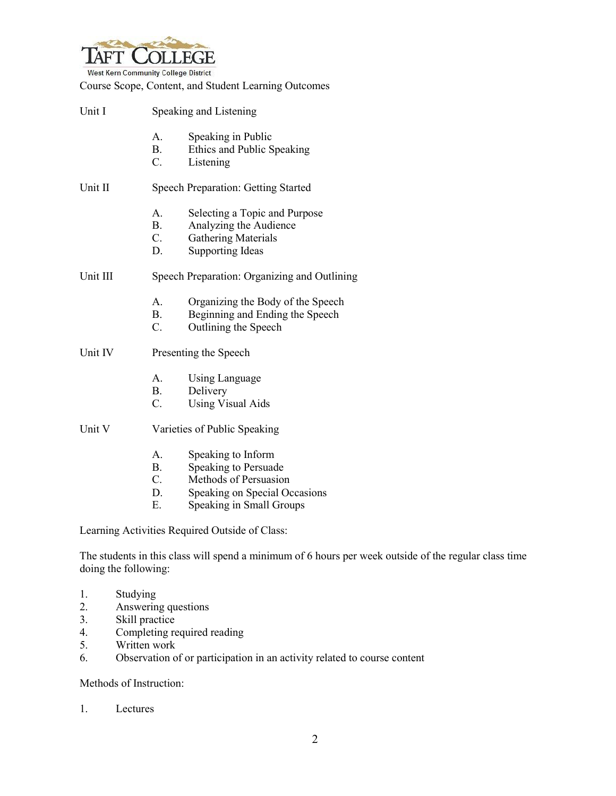

West Kern Community College District

Course Scope, Content, and Student Learning Outcomes

| Unit I   | Speaking and Listening                       |                                                                                                                  |
|----------|----------------------------------------------|------------------------------------------------------------------------------------------------------------------|
|          | $A_{-}$<br><b>B</b> .<br>$C_{\cdot}$         | Speaking in Public<br>Ethics and Public Speaking<br>Listening                                                    |
| Unit II  | <b>Speech Preparation: Getting Started</b>   |                                                                                                                  |
|          | А.<br><b>B.</b><br>$C_{\cdot}$<br>D.         | Selecting a Topic and Purpose<br>Analyzing the Audience<br><b>Gathering Materials</b><br><b>Supporting Ideas</b> |
| Unit III | Speech Preparation: Organizing and Outlining |                                                                                                                  |
|          | A.<br><b>B</b> .<br>C.                       | Organizing the Body of the Speech<br>Beginning and Ending the Speech<br>Outlining the Speech                     |
| Unit IV  | Presenting the Speech                        |                                                                                                                  |
|          | A.<br><b>B</b> .<br>$C_{\cdot}$              | <b>Using Language</b><br>Delivery<br><b>Using Visual Aids</b>                                                    |
| Unit V   | Varieties of Public Speaking                 |                                                                                                                  |
|          | A.<br>В.                                     | Speaking to Inform<br>Speaking to Persuade                                                                       |

- C. Methods of Persuasion
- D. Speaking on Special Occasions
- E. Speaking in Small Groups

Learning Activities Required Outside of Class:

The students in this class will spend a minimum of 6 hours per week outside of the regular class time doing the following:

- 1. Studying
- 2. Answering questions<br>3. Skill practice
- Skill practice
- 4. Completing required reading
- 5. Written work<br>6. Observation of
- Observation of or participation in an activity related to course content

Methods of Instruction:

1. Lectures